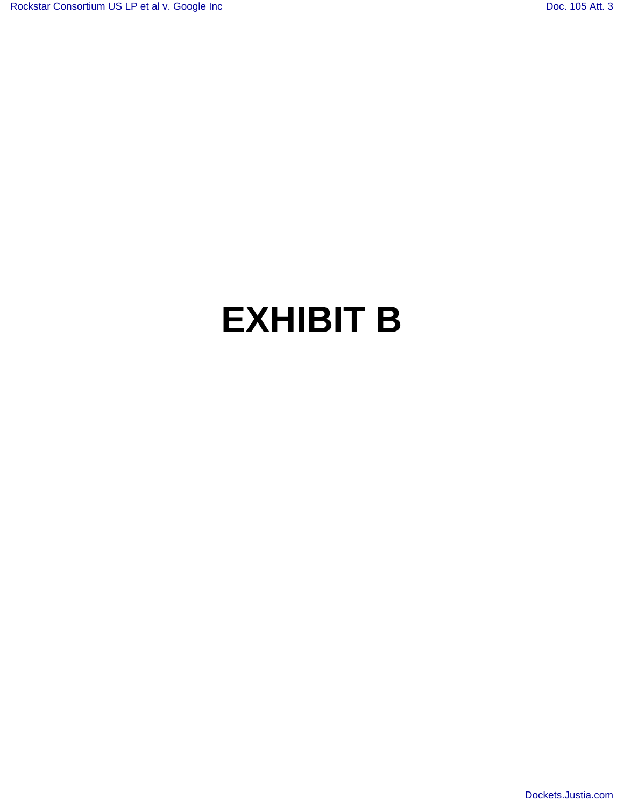## **EXHIBIT B**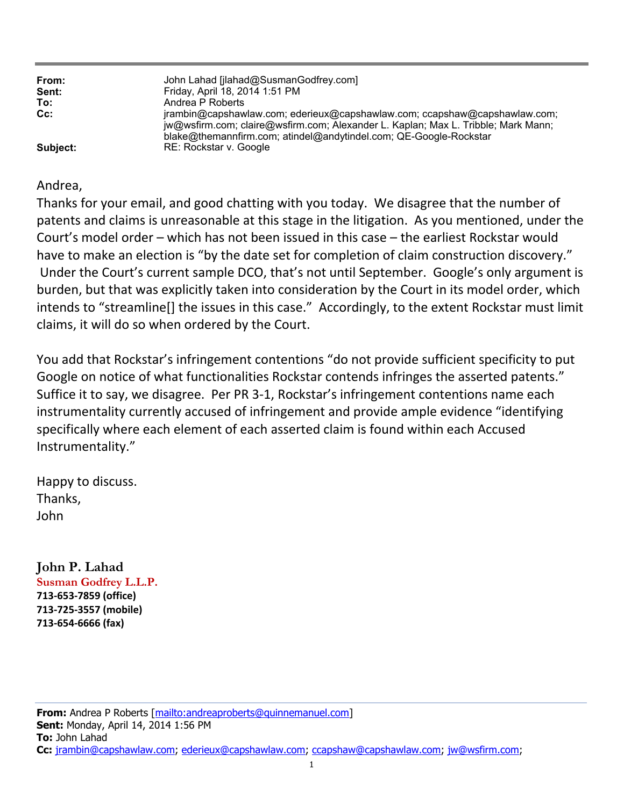| From:<br>Sent:<br>To:<br>$Cc$ : | John Lahad [jlahad@SusmanGodfrey.com]<br>Friday, April 18, 2014 1:51 PM<br>Andrea P Roberts<br>jrambin@capshawlaw.com; ederieux@capshawlaw.com; ccapshaw@capshawlaw.com;<br>jw@wsfirm.com; claire@wsfirm.com; Alexander L. Kaplan; Max L. Tribble; Mark Mann;<br>blake@themannfirm.com; atindel@andytindel.com; QE-Google-Rockstar |
|---------------------------------|------------------------------------------------------------------------------------------------------------------------------------------------------------------------------------------------------------------------------------------------------------------------------------------------------------------------------------|
| Subject:                        | RE: Rockstar v. Google                                                                                                                                                                                                                                                                                                             |

## Andrea,

Thanks for your email, and good chatting with you today. We disagree that the number of patents and claims is unreasonable at this stage in the litigation. As you mentioned, under the Court's model order – which has not been issued in this case – the earliest Rockstar would have to make an election is "by the date set for completion of claim construction discovery." Under the Court's current sample DCO, that's not until September. Google's only argument is burden, but that was explicitly taken into consideration by the Court in its model order, which intends to "streamline[] the issues in this case." Accordingly, to the extent Rockstar must limit claims, it will do so when ordered by the Court.

You add that Rockstar's infringement contentions "do not provide sufficient specificity to put Google on notice of what functionalities Rockstar contends infringes the asserted patents." Suffice it to say, we disagree. Per PR 3-1, Rockstar's infringement contentions name each instrumentality currently accused of infringement and provide ample evidence "identifying specifically where each element of each asserted claim is found within each Accused Instrumentality."

Happy to discuss. Thanks, John

**John P. Lahad Susman Godfrey L.L.P. 713-653-7859 (office) 713-725-3557 (mobile) 713-654-6666 (fax)**